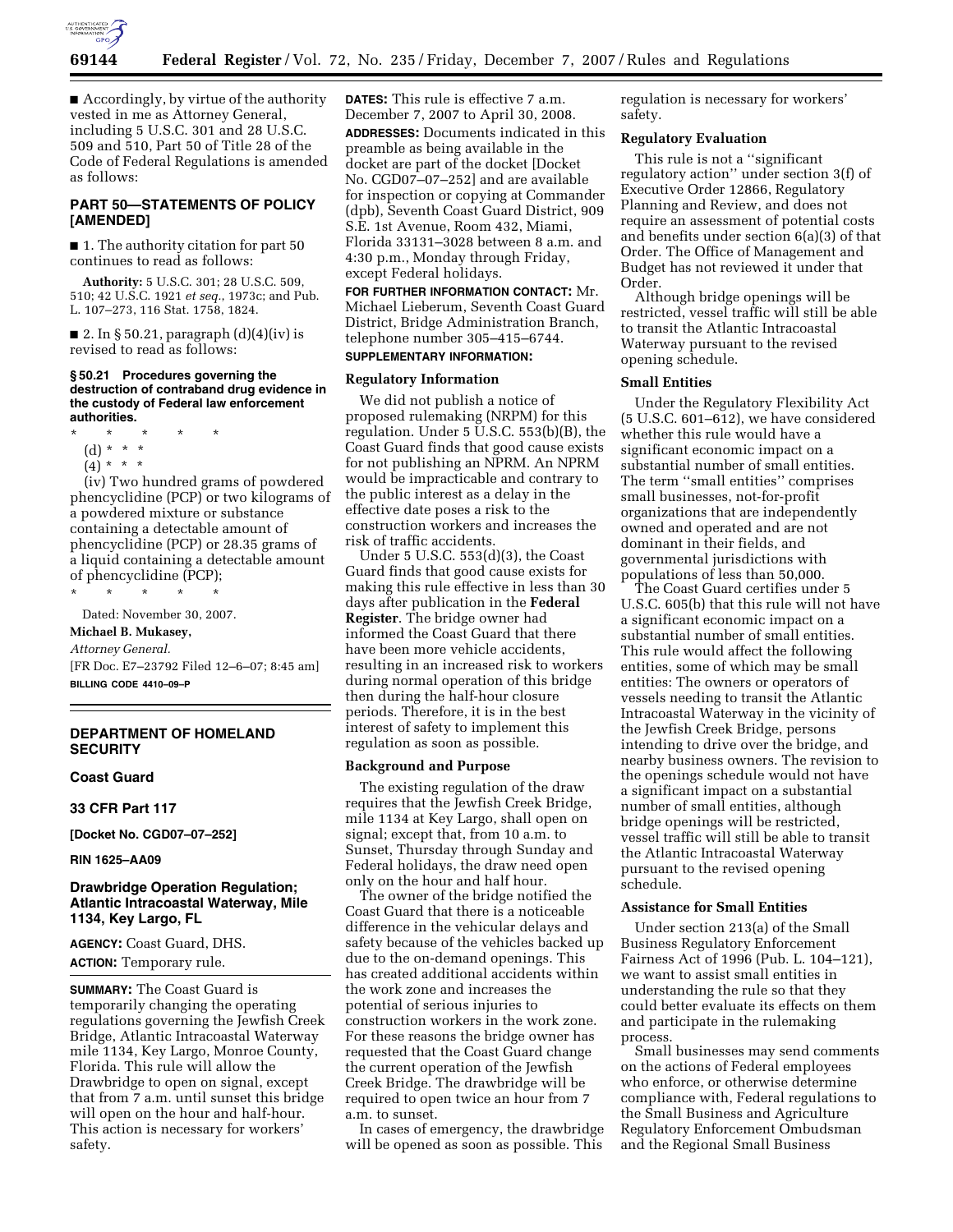

■ Accordingly, by virtue of the authority vested in me as Attorney General, including 5 U.S.C. 301 and 28 U.S.C. 509 and 510, Part 50 of Title 28 of the Code of Federal Regulations is amended as follows:

## **PART 50—STATEMENTS OF POLICY [AMENDED]**

■ 1. The authority citation for part 50 continues to read as follows:

**Authority:** 5 U.S.C. 301; 28 U.S.C. 509, 510; 42 U.S.C. 1921 *et seq.*, 1973c; and Pub. L. 107–273, 116 Stat. 1758, 1824.

■ 2. In § 50.21, paragraph (d)(4)(iv) is revised to read as follows:

#### **§ 50.21 Procedures governing the destruction of contraband drug evidence in the custody of Federal law enforcement authorities.**

\* \* \* \* \* (d) \* \* \*  $(4) * * * *$ 

(iv) Two hundred grams of powdered phencyclidine (PCP) or two kilograms of a powdered mixture or substance containing a detectable amount of phencyclidine (PCP) or 28.35 grams of a liquid containing a detectable amount of phencyclidine (PCP);

\* \* \* \* \* Dated: November 30, 2007.

**Michael B. Mukasey,** 

*Attorney General.* 

[FR Doc. E7–23792 Filed 12–6–07; 8:45 am] **BILLING CODE 4410–09–P** 

## **DEPARTMENT OF HOMELAND SECURITY**

### **Coast Guard**

**33 CFR Part 117** 

**[Docket No. CGD07–07–252]** 

**RIN 1625–AA09** 

## **Drawbridge Operation Regulation; Atlantic Intracoastal Waterway, Mile 1134, Key Largo, FL**

**AGENCY:** Coast Guard, DHS. **ACTION:** Temporary rule.

**SUMMARY:** The Coast Guard is temporarily changing the operating regulations governing the Jewfish Creek Bridge, Atlantic Intracoastal Waterway mile 1134, Key Largo, Monroe County, Florida. This rule will allow the Drawbridge to open on signal, except that from 7 a.m. until sunset this bridge will open on the hour and half-hour. This action is necessary for workers' safety.

**DATES:** This rule is effective 7 a.m. December 7, 2007 to April 30, 2008. **ADDRESSES:** Documents indicated in this preamble as being available in the docket are part of the docket [Docket No. CGD07–07–252] and are available for inspection or copying at Commander (dpb), Seventh Coast Guard District, 909 S.E. 1st Avenue, Room 432, Miami, Florida 33131–3028 between 8 a.m. and 4:30 p.m., Monday through Friday, except Federal holidays.

**FOR FURTHER INFORMATION CONTACT:** Mr. Michael Lieberum, Seventh Coast Guard District, Bridge Administration Branch, telephone number 305–415–6744.

## **SUPPLEMENTARY INFORMATION:**

#### **Regulatory Information**

We did not publish a notice of proposed rulemaking (NRPM) for this regulation. Under 5 U.S.C. 553(b)(B), the Coast Guard finds that good cause exists for not publishing an NPRM. An NPRM would be impracticable and contrary to the public interest as a delay in the effective date poses a risk to the construction workers and increases the risk of traffic accidents.

Under 5 U.S.C. 553(d)(3), the Coast Guard finds that good cause exists for making this rule effective in less than 30 days after publication in the **Federal Register**. The bridge owner had informed the Coast Guard that there have been more vehicle accidents, resulting in an increased risk to workers during normal operation of this bridge then during the half-hour closure periods. Therefore, it is in the best interest of safety to implement this regulation as soon as possible.

## **Background and Purpose**

The existing regulation of the draw requires that the Jewfish Creek Bridge, mile 1134 at Key Largo, shall open on signal; except that, from 10 a.m. to Sunset, Thursday through Sunday and Federal holidays, the draw need open only on the hour and half hour.

The owner of the bridge notified the Coast Guard that there is a noticeable difference in the vehicular delays and safety because of the vehicles backed up due to the on-demand openings. This has created additional accidents within the work zone and increases the potential of serious injuries to construction workers in the work zone. For these reasons the bridge owner has requested that the Coast Guard change the current operation of the Jewfish Creek Bridge. The drawbridge will be required to open twice an hour from 7 a.m. to sunset.

In cases of emergency, the drawbridge will be opened as soon as possible. This

regulation is necessary for workers' safety.

## **Regulatory Evaluation**

This rule is not a ''significant regulatory action'' under section 3(f) of Executive Order 12866, Regulatory Planning and Review, and does not require an assessment of potential costs and benefits under section 6(a)(3) of that Order. The Office of Management and Budget has not reviewed it under that Order.

Although bridge openings will be restricted, vessel traffic will still be able to transit the Atlantic Intracoastal Waterway pursuant to the revised opening schedule.

## **Small Entities**

Under the Regulatory Flexibility Act (5 U.S.C. 601–612), we have considered whether this rule would have a significant economic impact on a substantial number of small entities. The term ''small entities'' comprises small businesses, not-for-profit organizations that are independently owned and operated and are not dominant in their fields, and governmental jurisdictions with populations of less than 50,000.

The Coast Guard certifies under 5 U.S.C. 605(b) that this rule will not have a significant economic impact on a substantial number of small entities. This rule would affect the following entities, some of which may be small entities: The owners or operators of vessels needing to transit the Atlantic Intracoastal Waterway in the vicinity of the Jewfish Creek Bridge, persons intending to drive over the bridge, and nearby business owners. The revision to the openings schedule would not have a significant impact on a substantial number of small entities, although bridge openings will be restricted, vessel traffic will still be able to transit the Atlantic Intracoastal Waterway pursuant to the revised opening schedule.

### **Assistance for Small Entities**

Under section 213(a) of the Small Business Regulatory Enforcement Fairness Act of 1996 (Pub. L. 104–121), we want to assist small entities in understanding the rule so that they could better evaluate its effects on them and participate in the rulemaking process.

Small businesses may send comments on the actions of Federal employees who enforce, or otherwise determine compliance with, Federal regulations to the Small Business and Agriculture Regulatory Enforcement Ombudsman and the Regional Small Business